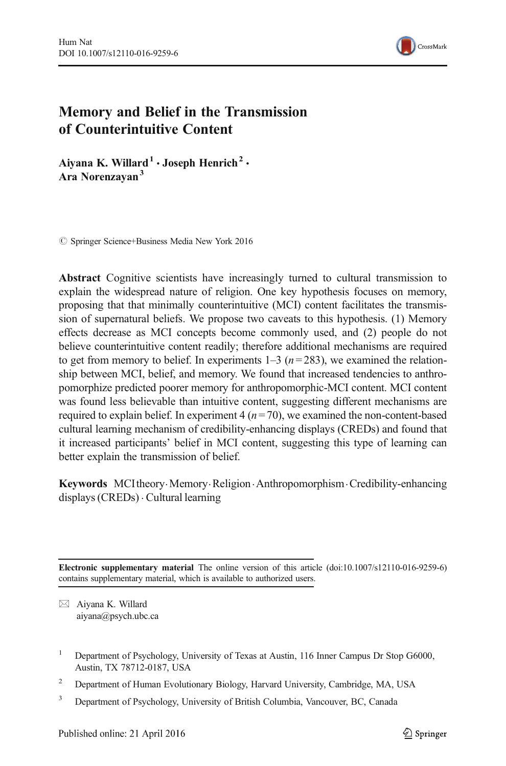

# Memory and Belief in the Transmission of Counterintuitive Content

Aiyana K. Willard<sup>1</sup>  $\cdot$  Joseph Henrich<sup>2</sup>  $\cdot$ Ara Norenzayan<sup>3</sup>

 $\oslash$  Springer Science+Business Media New York 2016

Abstract Cognitive scientists have increasingly turned to cultural transmission to explain the widespread nature of religion. One key hypothesis focuses on memory, proposing that that minimally counterintuitive (MCI) content facilitates the transmission of supernatural beliefs. We propose two caveats to this hypothesis. (1) Memory effects decrease as MCI concepts become commonly used, and (2) people do not believe counterintuitive content readily; therefore additional mechanisms are required to get from memory to belief. In experiments  $1-3$  ( $n=283$ ), we examined the relationship between MCI, belief, and memory. We found that increased tendencies to anthropomorphize predicted poorer memory for anthropomorphic-MCI content. MCI content was found less believable than intuitive content, suggesting different mechanisms are required to explain belief. In experiment  $4 (n = 70)$ , we examined the non-content-based cultural learning mechanism of credibility-enhancing displays (CREDs) and found that it increased participants' belief in MCI content, suggesting this type of learning can better explain the transmission of belief.

Keywords MCI theory. Memory. Religion. Anthropomorphism. Credibility-enhancing displays (CREDs) . Cultural learning

Electronic supplementary material The online version of this article (doi[:10.1007/s12110-016-9259-6\)](http://dx.doi.org/10.1007/s12110-016-9259-6) contains supplementary material, which is available to authorized users.

 $\boxtimes$  Aiyana K. Willard aiyana@psych.ubc.ca

- <sup>1</sup> Department of Psychology, University of Texas at Austin, 116 Inner Campus Dr Stop G6000, Austin, TX 78712-0187, USA
- <sup>2</sup> Department of Human Evolutionary Biology, Harvard University, Cambridge, MA, USA
- <sup>3</sup> Department of Psychology, University of British Columbia, Vancouver, BC, Canada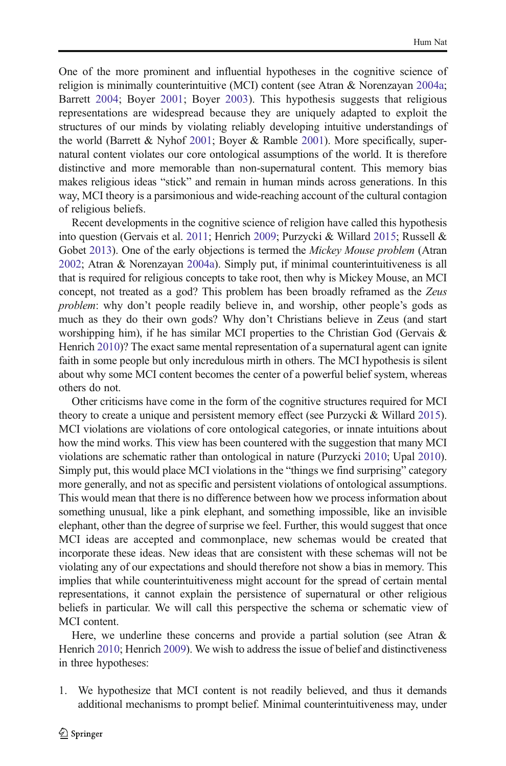One of the more prominent and influential hypotheses in the cognitive science of religion is minimally counterintuitive (MCI) content (see Atran & Norenzayan [2004a;](#page-20-0) Barrett [2004](#page-20-0); Boyer [2001](#page-20-0); Boyer [2003\)](#page-20-0). This hypothesis suggests that religious representations are widespread because they are uniquely adapted to exploit the structures of our minds by violating reliably developing intuitive understandings of the world (Barrett & Nyhof [2001](#page-20-0); Boyer & Ramble [2001\)](#page-20-0). More specifically, supernatural content violates our core ontological assumptions of the world. It is therefore distinctive and more memorable than non-supernatural content. This memory bias makes religious ideas "stick" and remain in human minds across generations. In this way, MCI theory is a parsimonious and wide-reaching account of the cultural contagion of religious beliefs.

Recent developments in the cognitive science of religion have called this hypothesis into question (Gervais et al. [2011](#page-20-0); Henrich [2009;](#page-21-0) Purzycki & Willard [2015](#page-21-0); Russell & Gobet [2013](#page-21-0)). One of the early objections is termed the Mickey Mouse problem (Atran [2002;](#page-20-0) Atran & Norenzayan [2004a](#page-20-0)). Simply put, if minimal counterintuitiveness is all that is required for religious concepts to take root, then why is Mickey Mouse, an MCI concept, not treated as a god? This problem has been broadly reframed as the Zeus problem: why don't people readily believe in, and worship, other people's gods as much as they do their own gods? Why don't Christians believe in Zeus (and start worshipping him), if he has similar MCI properties to the Christian God (Gervais  $\&$ Henrich [2010\)](#page-20-0)? The exact same mental representation of a supernatural agent can ignite faith in some people but only incredulous mirth in others. The MCI hypothesis is silent about why some MCI content becomes the center of a powerful belief system, whereas others do not.

Other criticisms have come in the form of the cognitive structures required for MCI theory to create a unique and persistent memory effect (see Purzycki & Willard [2015\)](#page-21-0). MCI violations are violations of core ontological categories, or innate intuitions about how the mind works. This view has been countered with the suggestion that many MCI violations are schematic rather than ontological in nature (Purzycki [2010;](#page-21-0) Upal [2010\)](#page-21-0). Simply put, this would place MCI violations in the "things we find surprising" category more generally, and not as specific and persistent violations of ontological assumptions. This would mean that there is no difference between how we process information about something unusual, like a pink elephant, and something impossible, like an invisible elephant, other than the degree of surprise we feel. Further, this would suggest that once MCI ideas are accepted and commonplace, new schemas would be created that incorporate these ideas. New ideas that are consistent with these schemas will not be violating any of our expectations and should therefore not show a bias in memory. This implies that while counterintuitiveness might account for the spread of certain mental representations, it cannot explain the persistence of supernatural or other religious beliefs in particular. We will call this perspective the schema or schematic view of MCI content.

Here, we underline these concerns and provide a partial solution (see Atran & Henrich [2010;](#page-20-0) Henrich [2009\)](#page-21-0). We wish to address the issue of belief and distinctiveness in three hypotheses:

1. We hypothesize that MCI content is not readily believed, and thus it demands additional mechanisms to prompt belief. Minimal counterintuitiveness may, under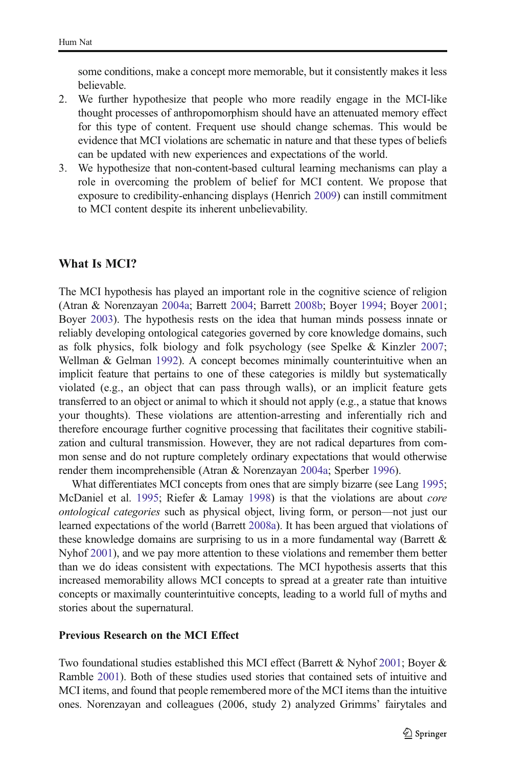some conditions, make a concept more memorable, but it consistently makes it less believable.

- 2. We further hypothesize that people who more readily engage in the MCI-like thought processes of anthropomorphism should have an attenuated memory effect for this type of content. Frequent use should change schemas. This would be evidence that MCI violations are schematic in nature and that these types of beliefs can be updated with new experiences and expectations of the world.
- 3. We hypothesize that non-content-based cultural learning mechanisms can play a role in overcoming the problem of belief for MCI content. We propose that exposure to credibility-enhancing displays (Henrich [2009](#page-21-0)) can instill commitment to MCI content despite its inherent unbelievability.

## What Is MCI?

The MCI hypothesis has played an important role in the cognitive science of religion (Atran & Norenzayan [2004a;](#page-20-0) Barrett [2004;](#page-20-0) Barrett [2008b](#page-20-0); Boyer [1994](#page-20-0); Boyer [2001;](#page-20-0) Boyer [2003](#page-20-0)). The hypothesis rests on the idea that human minds possess innate or reliably developing ontological categories governed by core knowledge domains, such as folk physics, folk biology and folk psychology (see Spelke & Kinzler [2007;](#page-21-0) Wellman & Gelman [1992\)](#page-22-0). A concept becomes minimally counterintuitive when an implicit feature that pertains to one of these categories is mildly but systematically violated (e.g., an object that can pass through walls), or an implicit feature gets transferred to an object or animal to which it should not apply (e.g., a statue that knows your thoughts). These violations are attention-arresting and inferentially rich and therefore encourage further cognitive processing that facilitates their cognitive stabilization and cultural transmission. However, they are not radical departures from common sense and do not rupture completely ordinary expectations that would otherwise render them incomprehensible (Atran & Norenzayan [2004a;](#page-20-0) Sperber [1996](#page-21-0)).

What differentiates MCI concepts from ones that are simply bizarre (see Lang [1995;](#page-21-0) McDaniel et al. [1995;](#page-21-0) Riefer & Lamay [1998](#page-21-0)) is that the violations are about *core* ontological categories such as physical object, living form, or person—not just our learned expectations of the world (Barrett [2008a\)](#page-20-0). It has been argued that violations of these knowledge domains are surprising to us in a more fundamental way (Barrett  $\&$ Nyhof [2001](#page-20-0)), and we pay more attention to these violations and remember them better than we do ideas consistent with expectations. The MCI hypothesis asserts that this increased memorability allows MCI concepts to spread at a greater rate than intuitive concepts or maximally counterintuitive concepts, leading to a world full of myths and stories about the supernatural.

#### Previous Research on the MCI Effect

Two foundational studies established this MCI effect (Barrett & Nyhof [2001;](#page-20-0) Boyer & Ramble [2001](#page-20-0)). Both of these studies used stories that contained sets of intuitive and MCI items, and found that people remembered more of the MCI items than the intuitive ones. Norenzayan and colleagues (2006, study 2) analyzed Grimms' fairytales and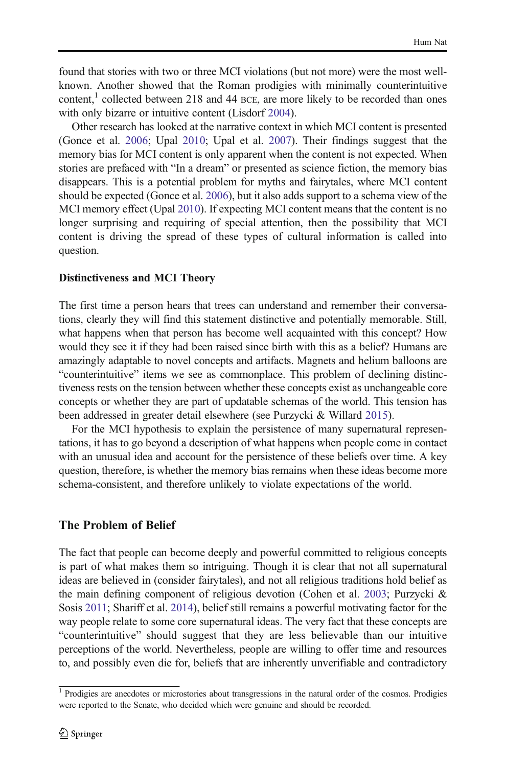found that stories with two or three MCI violations (but not more) were the most wellknown. Another showed that the Roman prodigies with minimally counterintuitive content,<sup>1</sup> collected between 218 and 44 BCE, are more likely to be recorded than ones with only bizarre or intuitive content (Lisdorf [2004](#page-21-0)).

Other research has looked at the narrative context in which MCI content is presented (Gonce et al. [2006](#page-21-0); Upal [2010](#page-21-0); Upal et al. [2007](#page-21-0)). Their findings suggest that the memory bias for MCI content is only apparent when the content is not expected. When stories are prefaced with "In a dream" or presented as science fiction, the memory bias disappears. This is a potential problem for myths and fairytales, where MCI content should be expected (Gonce et al. [2006](#page-21-0)), but it also adds support to a schema view of the MCI memory effect (Upal [2010\)](#page-21-0). If expecting MCI content means that the content is no longer surprising and requiring of special attention, then the possibility that MCI content is driving the spread of these types of cultural information is called into question.

#### Distinctiveness and MCI Theory

The first time a person hears that trees can understand and remember their conversations, clearly they will find this statement distinctive and potentially memorable. Still, what happens when that person has become well acquainted with this concept? How would they see it if they had been raised since birth with this as a belief? Humans are amazingly adaptable to novel concepts and artifacts. Magnets and helium balloons are "counterintuitive" items we see as commonplace. This problem of declining distinctiveness rests on the tension between whether these concepts exist as unchangeable core concepts or whether they are part of updatable schemas of the world. This tension has been addressed in greater detail elsewhere (see Purzycki & Willard [2015](#page-21-0)).

For the MCI hypothesis to explain the persistence of many supernatural representations, it has to go beyond a description of what happens when people come in contact with an unusual idea and account for the persistence of these beliefs over time. A key question, therefore, is whether the memory bias remains when these ideas become more schema-consistent, and therefore unlikely to violate expectations of the world.

## The Problem of Belief

The fact that people can become deeply and powerful committed to religious concepts is part of what makes them so intriguing. Though it is clear that not all supernatural ideas are believed in (consider fairytales), and not all religious traditions hold belief as the main defining component of religious devotion (Cohen et al. [2003;](#page-20-0) Purzycki & Sosis [2011](#page-21-0); Shariff et al. [2014\)](#page-21-0), belief still remains a powerful motivating factor for the way people relate to some core supernatural ideas. The very fact that these concepts are "counterintuitive" should suggest that they are less believable than our intuitive perceptions of the world. Nevertheless, people are willing to offer time and resources to, and possibly even die for, beliefs that are inherently unverifiable and contradictory

<sup>&</sup>lt;sup>1</sup> Prodigies are anecdotes or microstories about transgressions in the natural order of the cosmos. Prodigies were reported to the Senate, who decided which were genuine and should be recorded.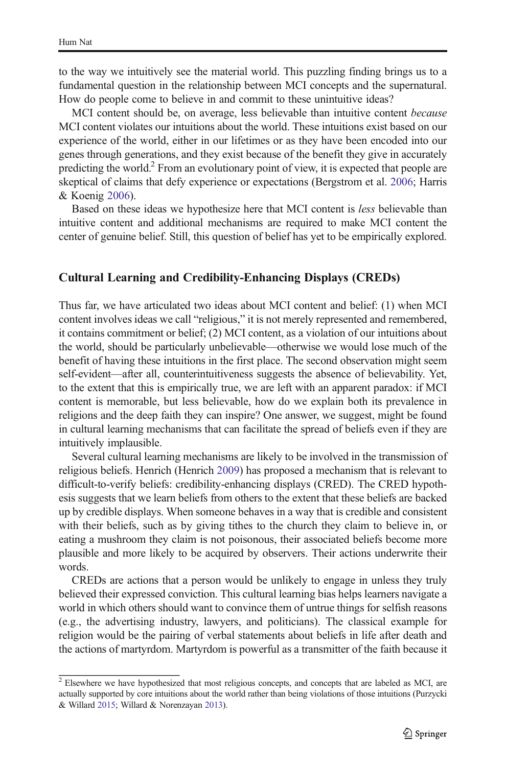to the way we intuitively see the material world. This puzzling finding brings us to a fundamental question in the relationship between MCI concepts and the supernatural. How do people come to believe in and commit to these unintuitive ideas?

MCI content should be, on average, less believable than intuitive content *because* MCI content violates our intuitions about the world. These intuitions exist based on our experience of the world, either in our lifetimes or as they have been encoded into our genes through generations, and they exist because of the benefit they give in accurately predicting the world.<sup>2</sup> From an evolutionary point of view, it is expected that people are skeptical of claims that defy experience or expectations (Bergstrom et al. [2006;](#page-20-0) Harris & Koenig [2006\)](#page-21-0).

Based on these ideas we hypothesize here that MCI content is less believable than intuitive content and additional mechanisms are required to make MCI content the center of genuine belief. Still, this question of belief has yet to be empirically explored.

### Cultural Learning and Credibility-Enhancing Displays (CREDs)

Thus far, we have articulated two ideas about MCI content and belief: (1) when MCI content involves ideas we call "religious," it is not merely represented and remembered, it contains commitment or belief; (2) MCI content, as a violation of our intuitions about the world, should be particularly unbelievable—otherwise we would lose much of the benefit of having these intuitions in the first place. The second observation might seem self-evident—after all, counterintuitiveness suggests the absence of believability. Yet, to the extent that this is empirically true, we are left with an apparent paradox: if MCI content is memorable, but less believable, how do we explain both its prevalence in religions and the deep faith they can inspire? One answer, we suggest, might be found in cultural learning mechanisms that can facilitate the spread of beliefs even if they are intuitively implausible.

Several cultural learning mechanisms are likely to be involved in the transmission of religious beliefs. Henrich (Henrich [2009\)](#page-21-0) has proposed a mechanism that is relevant to difficult-to-verify beliefs: credibility-enhancing displays (CRED). The CRED hypothesis suggests that we learn beliefs from others to the extent that these beliefs are backed up by credible displays. When someone behaves in a way that is credible and consistent with their beliefs, such as by giving tithes to the church they claim to believe in, or eating a mushroom they claim is not poisonous, their associated beliefs become more plausible and more likely to be acquired by observers. Their actions underwrite their words.

CREDs are actions that a person would be unlikely to engage in unless they truly believed their expressed conviction. This cultural learning bias helps learners navigate a world in which others should want to convince them of untrue things for selfish reasons (e.g., the advertising industry, lawyers, and politicians). The classical example for religion would be the pairing of verbal statements about beliefs in life after death and the actions of martyrdom. Martyrdom is powerful as a transmitter of the faith because it

 $\frac{2}{2}$  Elsewhere we have hypothesized that most religious concepts, and concepts that are labeled as MCI, are actually supported by core intuitions about the world rather than being violations of those intuitions (Purzycki & Willard [2015](#page-21-0); Willard & Norenzayan [2013](#page-22-0)).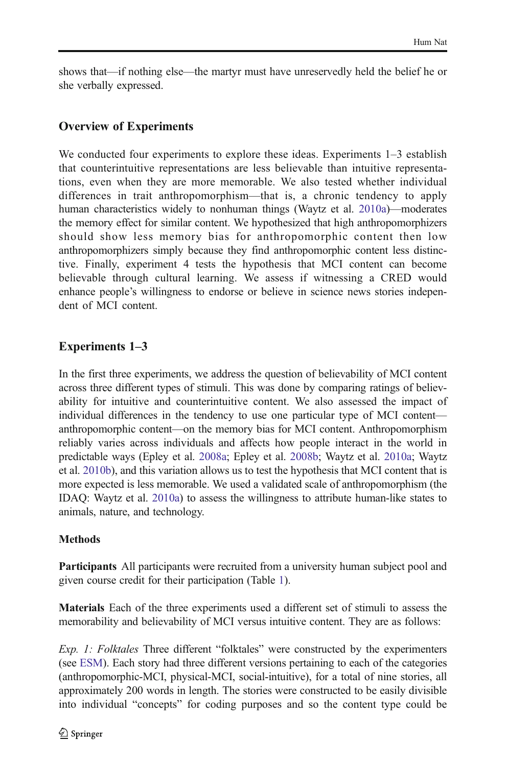shows that—if nothing else—the martyr must have unreservedly held the belief he or she verbally expressed.

# Overview of Experiments

We conducted four experiments to explore these ideas. Experiments  $1-3$  establish that counterintuitive representations are less believable than intuitive representations, even when they are more memorable. We also tested whether individual differences in trait anthropomorphism—that is, a chronic tendency to apply human characteristics widely to nonhuman things (Waytz et al. [2010a\)](#page-21-0)—moderates the memory effect for similar content. We hypothesized that high anthropomorphizers should show less memory bias for anthropomorphic content then low anthropomorphizers simply because they find anthropomorphic content less distinctive. Finally, experiment 4 tests the hypothesis that MCI content can become believable through cultural learning. We assess if witnessing a CRED would enhance people's willingness to endorse or believe in science news stories independent of MCI content.

# Experiments 1–3

In the first three experiments, we address the question of believability of MCI content across three different types of stimuli. This was done by comparing ratings of believability for intuitive and counterintuitive content. We also assessed the impact of individual differences in the tendency to use one particular type of MCI content anthropomorphic content—on the memory bias for MCI content. Anthropomorphism reliably varies across individuals and affects how people interact in the world in predictable ways (Epley et al. [2008a;](#page-20-0) Epley et al. [2008b](#page-20-0); Waytz et al. [2010a;](#page-21-0) Waytz et al. [2010b\)](#page-21-0), and this variation allows us to test the hypothesis that MCI content that is more expected is less memorable. We used a validated scale of anthropomorphism (the IDAQ: Waytz et al. [2010a\)](#page-21-0) to assess the willingness to attribute human-like states to animals, nature, and technology.

### **Methods**

Participants All participants were recruited from a university human subject pool and given course credit for their participation (Table [1\)](#page-6-0).

Materials Each of the three experiments used a different set of stimuli to assess the memorability and believability of MCI versus intuitive content. They are as follows:

Exp. 1: Folktales Three different "folktales" were constructed by the experimenters (see ESM). Each story had three different versions pertaining to each of the categories (anthropomorphic-MCI, physical-MCI, social-intuitive), for a total of nine stories, all approximately 200 words in length. The stories were constructed to be easily divisible into individual "concepts" for coding purposes and so the content type could be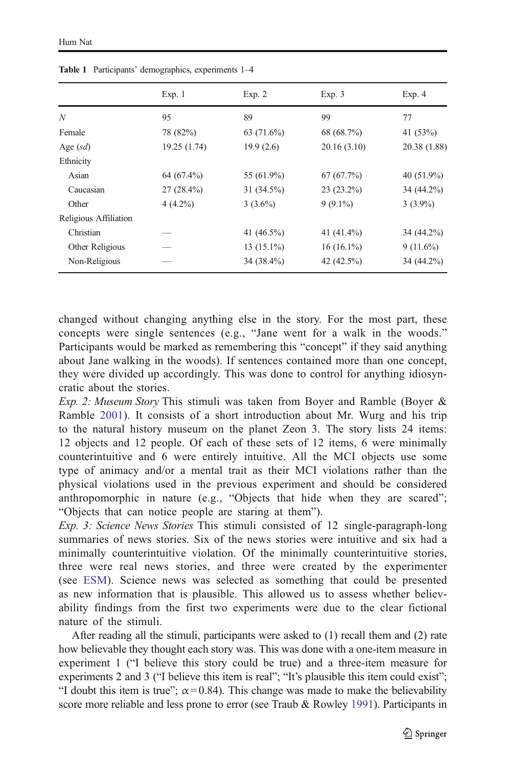|                       | Exp. 1       | Exp. 2        | Exp. 3        | Exp. 4        |
|-----------------------|--------------|---------------|---------------|---------------|
| N                     | 95           | 89            | 99            | 77            |
| Female                | 78 (82%)     | 63 $(71.6\%)$ | 68 (68.7%)    | 41 $(53%)$    |
| Age $(sd)$            | 19.25 (1.74) | 19.9(2.6)     | 20.16 (3.10)  | 20.38 (1.88)  |
| Ethnicity             |              |               |               |               |
| Asian                 | 64 (67.4%)   | 55 (61.9%)    | 67(67.7%)     | 40 $(51.9\%)$ |
| Caucasian             | $27(28.4\%)$ | $31(34.5\%)$  | $23(23.2\%)$  | 34 (44.2%)    |
| Other                 | $4(4.2\%)$   | $3(3.6\%)$    | $9(9.1\%)$    | $3(3.9\%)$    |
| Religious Affiliation |              |               |               |               |
| Christian             |              | 41 $(46.5\%)$ | 41 $(41.4\%)$ | 34 (44.2%)    |
| Other Religious       |              | $13(15.1\%)$  | $16(16.1\%)$  | $9(11.6\%)$   |
| Non-Religious         |              | 34 (38.4%)    | 42 (42.5%)    | 34 (44.2%)    |

<span id="page-6-0"></span>Table 1 Participants' demographics, experiments 1–4

changed without changing anything else in the story. For the most part, these concepts were single sentences (e.g., "Jane went for a walk in the woods." Participants would be marked as remembering this "concept" if they said anything about Jane walking in the woods). If sentences contained more than one concept, they were divided up accordingly. This was done to control for anything idiosyncratic about the stories.

Exp. 2: Museum Story This stimuli was taken from Boyer and Ramble (Boyer & Ramble [2001](#page-20-0)). It consists of a short introduction about Mr. Wurg and his trip to the natural history museum on the planet Zeon 3. The story lists 24 items: 12 objects and 12 people. Of each of these sets of 12 items, 6 were minimally counterintuitive and 6 were entirely intuitive. All the MCI objects use some type of animacy and/or a mental trait as their MCI violations rather than the physical violations used in the previous experiment and should be considered anthropomorphic in nature (e.g., "Objects that hide when they are scared"; "Objects that can notice people are staring at them").

Exp. 3: Science News Stories This stimuli consisted of 12 single-paragraph-long summaries of news stories. Six of the news stories were intuitive and six had a minimally counterintuitive violation. Of the minimally counterintuitive stories, three were real news stories, and three were created by the experimenter (see ESM). Science news was selected as something that could be presented as new information that is plausible. This allowed us to assess whether believability findings from the first two experiments were due to the clear fictional nature of the stimuli.

After reading all the stimuli, participants were asked to (1) recall them and (2) rate how believable they thought each story was. This was done with a one-item measure in experiment 1 ("I believe this story could be true) and a three-item measure for experiments 2 and 3 ("I believe this item is real"; "It's plausible this item could exist"; "I doubt this item is true";  $\alpha$  = 0.84). This change was made to make the believability score more reliable and less prone to error (see Traub & Rowley [1991\)](#page-21-0). Participants in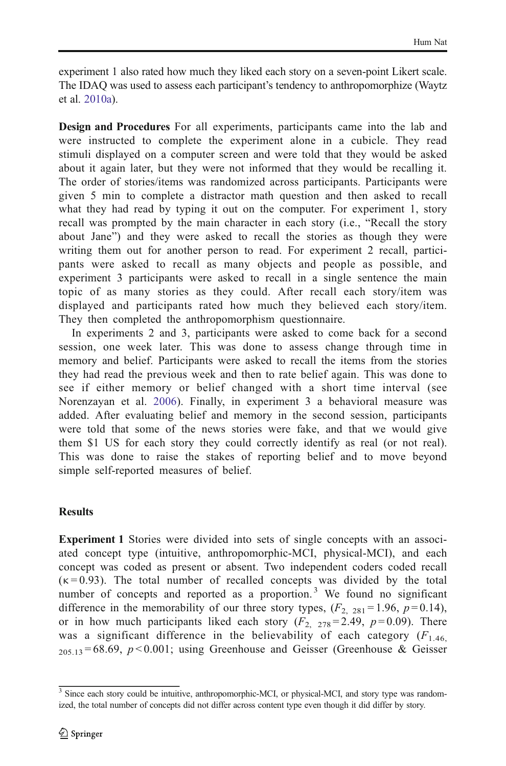experiment 1 also rated how much they liked each story on a seven-point Likert scale. The IDAQ was used to assess each participant's tendency to anthropomorphize (Waytz et al. [2010a](#page-21-0)).

Design and Procedures For all experiments, participants came into the lab and were instructed to complete the experiment alone in a cubicle. They read stimuli displayed on a computer screen and were told that they would be asked about it again later, but they were not informed that they would be recalling it. The order of stories/items was randomized across participants. Participants were given 5 min to complete a distractor math question and then asked to recall what they had read by typing it out on the computer. For experiment 1, story recall was prompted by the main character in each story (i.e., "Recall the story about Jane") and they were asked to recall the stories as though they were writing them out for another person to read. For experiment 2 recall, participants were asked to recall as many objects and people as possible, and experiment 3 participants were asked to recall in a single sentence the main topic of as many stories as they could. After recall each story/item was displayed and participants rated how much they believed each story/item. They then completed the anthropomorphism questionnaire.

In experiments 2 and 3, participants were asked to come back for a second session, one week later. This was done to assess change through time in memory and belief. Participants were asked to recall the items from the stories they had read the previous week and then to rate belief again. This was done to see if either memory or belief changed with a short time interval (see Norenzayan et al. [2006\)](#page-21-0). Finally, in experiment 3 a behavioral measure was added. After evaluating belief and memory in the second session, participants were told that some of the news stories were fake, and that we would give them \$1 US for each story they could correctly identify as real (or not real). This was done to raise the stakes of reporting belief and to move beyond simple self-reported measures of belief.

### Results

Experiment 1 Stories were divided into sets of single concepts with an associated concept type (intuitive, anthropomorphic-MCI, physical-MCI), and each concept was coded as present or absent. Two independent coders coded recall  $(\kappa = 0.93)$ . The total number of recalled concepts was divided by the total number of concepts and reported as a proportion.<sup>3</sup> We found no significant difference in the memorability of our three story types,  $(F_{2, 281} = 1.96, p = 0.14)$ , or in how much participants liked each story  $(F_2, 278) = 2.49$ ,  $p = 0.09$ ). There was a significant difference in the believability of each category  $(F_{1,46})$  $_{205,13}$  = 68.69, p < 0.001; using Greenhouse and Geisser (Greenhouse & Geisser

<sup>&</sup>lt;sup>3</sup> Since each story could be intuitive, anthropomorphic-MCI, or physical-MCI, and story type was randomized, the total number of concepts did not differ across content type even though it did differ by story.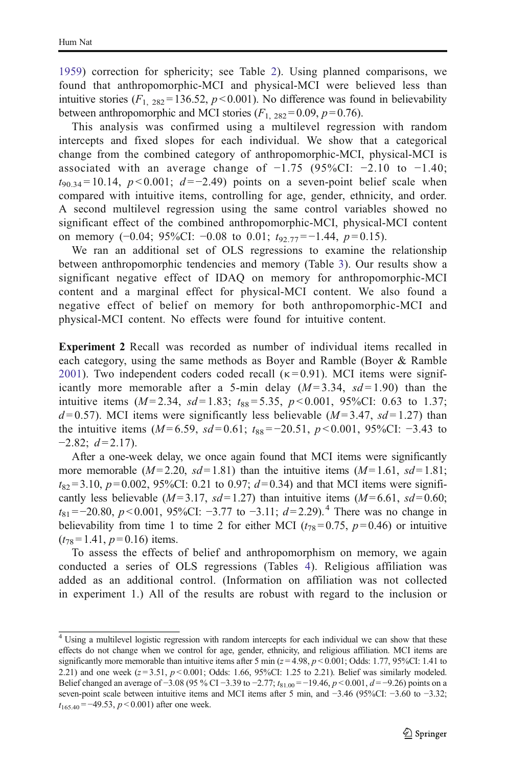[1959](#page-21-0)) correction for sphericity; see Table [2\)](#page-9-0). Using planned comparisons, we found that anthropomorphic-MCI and physical-MCI were believed less than intuitive stories  $(F_{1, 282} = 136.52, p < 0.001)$ . No difference was found in believability between anthropomorphic and MCI stories  $(F_{1, 282} = 0.09, p = 0.76)$ .

This analysis was confirmed using a multilevel regression with random intercepts and fixed slopes for each individual. We show that a categorical change from the combined category of anthropomorphic-MCI, physical-MCI is associated with an average change of  $-1.75$  (95%CI:  $-2.10$  to  $-1.40$ ;  $t_{90.34} = 10.14$ ,  $p < 0.001$ ;  $d = -2.49$ ) points on a seven-point belief scale when compared with intuitive items, controlling for age, gender, ethnicity, and order. A second multilevel regression using the same control variables showed no significant effect of the combined anthropomorphic-MCI, physical-MCI content on memory  $(-0.04; 95\%$ CI:  $-0.08$  to 0.01;  $t_{92.77} = -1.44$ ,  $p = 0.15$ ).

We ran an additional set of OLS regressions to examine the relationship between anthropomorphic tendencies and memory (Table [3](#page-9-0)). Our results show a significant negative effect of IDAQ on memory for anthropomorphic-MCI content and a marginal effect for physical-MCI content. We also found a negative effect of belief on memory for both anthropomorphic-MCI and physical-MCI content. No effects were found for intuitive content.

Experiment 2 Recall was recorded as number of individual items recalled in each category, using the same methods as Boyer and Ramble (Boyer & Ramble [2001](#page-20-0)). Two independent coders coded recall  $(\kappa = 0.91)$ . MCI items were significantly more memorable after a 5-min delay  $(M=3.34, sd=1.90)$  than the intuitive items  $(M=2.34, sd=1.83; t_{88}=5.35, p<0.001, 95\%CI: 0.63$  to 1.37;  $d=0.57$ ). MCI items were significantly less believable ( $M=3.47$ ,  $sd=1.27$ ) than the intuitive items ( $M = 6.59$ ,  $sd = 0.61$ ;  $t_{88} = -20.51$ ,  $p < 0.001$ , 95%CI: -3.43 to  $-2.82$ ;  $d=2.17$ ).

After a one-week delay, we once again found that MCI items were significantly more memorable  $(M=2.20, sd=1.81)$  than the intuitive items  $(M=1.61, sd=1.81;$  $t_{82} = 3.10$ ,  $p = 0.002$ , 95%CI: 0.21 to 0.97;  $d = 0.34$ ) and that MCI items were significantly less believable ( $M = 3.17$ ,  $sd = 1.27$ ) than intuitive items ( $M = 6.61$ ,  $sd = 0.60$ ;  $t_{81}$ =−20.80, p < 0.001, 95%CI: −3.77 to −3.11;  $d=2.29$ ).<sup>4</sup> There was no change in believability from time 1 to time 2 for either MCI ( $t_{78}$ =0.75, p=0.46) or intuitive  $(t_{78}=1.41, p=0.16)$  items.

To assess the effects of belief and anthropomorphism on memory, we again conducted a series of OLS regressions (Tables [4](#page-10-0)). Religious affiliation was added as an additional control. (Information on affiliation was not collected in experiment 1.) All of the results are robust with regard to the inclusion or

<sup>&</sup>lt;sup>4</sup> Using a multilevel logistic regression with random intercepts for each individual we can show that these effects do not change when we control for age, gender, ethnicity, and religious affiliation. MCI items are significantly more memorable than intuitive items after 5 min ( $z = 4.98$ ,  $p < 0.001$ ; Odds: 1.77, 95%CI: 1.41 to 2.21) and one week  $(z=3.51, p<0.001;$  Odds: 1.66, 95%CI: 1.25 to 2.21). Belief was similarly modeled. Belief changed an average of −3.08 (95 % CI −3.39 to −2.77;  $t_{81.00}$  = −19.46, p < 0.001, d = −9.26) points on a seven-point scale between intuitive items and MCI items after 5 min, and −3.46 (95%CI: −3.60 to −3.32;  $t_{165,40} = -49.53, p < 0.001$ ) after one week.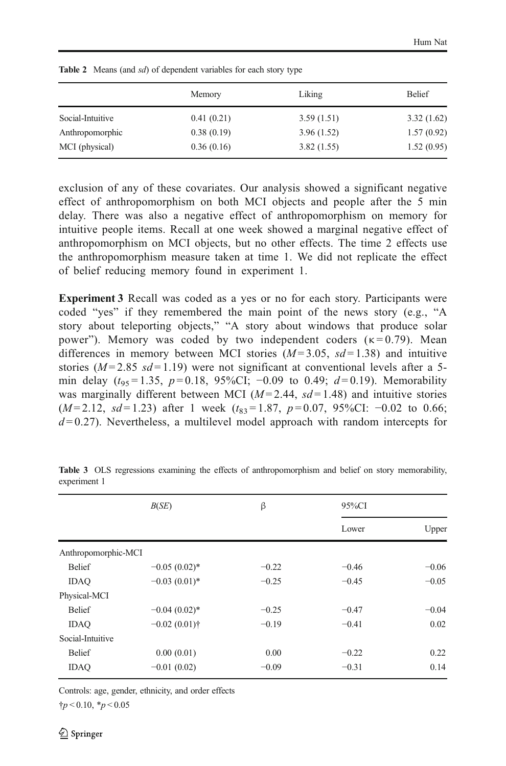| Memory     | Liking     | <b>Belief</b> |
|------------|------------|---------------|
| 0.41(0.21) | 3.59(1.51) | 3.32(1.62)    |
| 0.38(0.19) | 3.96(1.52) | 1.57(0.92)    |
| 0.36(0.16) | 3.82(1.55) | 1.52(0.95)    |
|            |            |               |

<span id="page-9-0"></span>Table 2 Means (and sd) of dependent variables for each story type

exclusion of any of these covariates. Our analysis showed a significant negative effect of anthropomorphism on both MCI objects and people after the 5 min delay. There was also a negative effect of anthropomorphism on memory for intuitive people items. Recall at one week showed a marginal negative effect of anthropomorphism on MCI objects, but no other effects. The time 2 effects use the anthropomorphism measure taken at time 1. We did not replicate the effect of belief reducing memory found in experiment 1.

Experiment 3 Recall was coded as a yes or no for each story. Participants were coded "yes" if they remembered the main point of the news story (e.g., "A story about teleporting objects," "A story about windows that produce solar power"). Memory was coded by two independent coders  $(\kappa = 0.79)$ . Mean differences in memory between MCI stories  $(M=3.05, sd=1.38)$  and intuitive stories ( $M = 2.85$  s $d = 1.19$ ) were not significant at conventional levels after a 5min delay  $(t_{95} = 1.35, p = 0.18, 95\%$ CI; -0.09 to 0.49;  $d = 0.19$ ). Memorability was marginally different between MCI ( $M=2.44$ ,  $sd=1.48$ ) and intuitive stories  $(M=2.12, sd=1.23)$  after 1 week  $(t_{83}=1.87, p=0.07, 95\%$ CI: -0.02 to 0.66;  $d = 0.27$ ). Nevertheless, a multilevel model approach with random intercepts for

|                     | B(SE)           | β       | 95%CI   |         |
|---------------------|-----------------|---------|---------|---------|
|                     |                 |         | Lower   | Upper   |
| Anthropomorphic-MCI |                 |         |         |         |
| <b>Belief</b>       | $-0.05(0.02)$ * | $-0.22$ | $-0.46$ | $-0.06$ |
| <b>IDAO</b>         | $-0.03(0.01)$ * | $-0.25$ | $-0.45$ | $-0.05$ |
| Physical-MCI        |                 |         |         |         |
| <b>Belief</b>       | $-0.04(0.02)$ * | $-0.25$ | $-0.47$ | $-0.04$ |
| <b>IDAO</b>         | $-0.02(0.01)$ † | $-0.19$ | $-0.41$ | 0.02    |
| Social-Intuitive    |                 |         |         |         |
| <b>Belief</b>       | 0.00(0.01)      | 0.00    | $-0.22$ | 0.22    |
| <b>IDAO</b>         | $-0.01(0.02)$   | $-0.09$ | $-0.31$ | 0.14    |

Table 3 OLS regressions examining the effects of anthropomorphism and belief on story memorability, experiment 1

Controls: age, gender, ethnicity, and order effects

 $\frac{1}{7}p < 0.10$ ,  $\frac{1}{7}p < 0.05$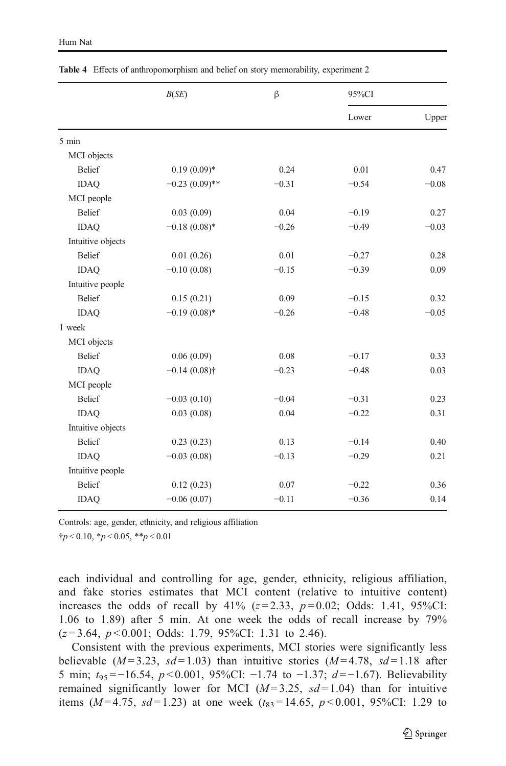|                   |                  |         |         | 95%CI   |  |
|-------------------|------------------|---------|---------|---------|--|
|                   |                  |         | Lower   | Upper   |  |
| 5 min             |                  |         |         |         |  |
| MCI objects       |                  |         |         |         |  |
| <b>Belief</b>     | $0.19(0.09)*$    | 0.24    | 0.01    | 0.47    |  |
| <b>IDAQ</b>       | $-0.23(0.09)$ ** | $-0.31$ | $-0.54$ | $-0.08$ |  |
| MCI people        |                  |         |         |         |  |
| <b>Belief</b>     | 0.03(0.09)       | 0.04    | $-0.19$ | 0.27    |  |
| <b>IDAQ</b>       | $-0.18(0.08)$ *  | $-0.26$ | $-0.49$ | $-0.03$ |  |
| Intuitive objects |                  |         |         |         |  |
| <b>Belief</b>     | 0.01(0.26)       | 0.01    | $-0.27$ | 0.28    |  |
| <b>IDAQ</b>       | $-0.10(0.08)$    | $-0.15$ | $-0.39$ | 0.09    |  |
| Intuitive people  |                  |         |         |         |  |
| <b>Belief</b>     | 0.15(0.21)       | 0.09    | $-0.15$ | 0.32    |  |
| <b>IDAO</b>       | $-0.19(0.08)*$   | $-0.26$ | $-0.48$ | $-0.05$ |  |
| 1 week            |                  |         |         |         |  |
| MCI objects       |                  |         |         |         |  |
| <b>Belief</b>     | 0.06(0.09)       | 0.08    | $-0.17$ | 0.33    |  |
| <b>IDAO</b>       | $-0.14(0.08)$ †  | $-0.23$ | $-0.48$ | 0.03    |  |
| MCI people        |                  |         |         |         |  |
| <b>Belief</b>     | $-0.03(0.10)$    | $-0.04$ | $-0.31$ | 0.23    |  |
| <b>IDAQ</b>       | 0.03(0.08)       | 0.04    | $-0.22$ | 0.31    |  |
| Intuitive objects |                  |         |         |         |  |
| <b>Belief</b>     | 0.23(0.23)       | 0.13    | $-0.14$ | 0.40    |  |
| <b>IDAQ</b>       | $-0.03(0.08)$    | $-0.13$ | $-0.29$ | 0.21    |  |
| Intuitive people  |                  |         |         |         |  |
| <b>Belief</b>     | 0.12(0.23)       | 0.07    | $-0.22$ | 0.36    |  |
| <b>IDAQ</b>       | $-0.06(0.07)$    | $-0.11$ | $-0.36$ | 0.14    |  |

<span id="page-10-0"></span>Table 4 Effects of anthropomorphism and belief on story memorability, experiment 2

Controls: age, gender, ethnicity, and religious affiliation

 $\dagger p < 0.10, \dagger p < 0.05, \dagger \dagger p < 0.01$ 

each individual and controlling for age, gender, ethnicity, religious affiliation, and fake stories estimates that MCI content (relative to intuitive content) increases the odds of recall by 41% ( $z = 2.33$ ,  $p = 0.02$ ; Odds: 1.41, 95%CI: 1.06 to 1.89) after 5 min. At one week the odds of recall increase by 79%  $(z=3.64, p<0.001;$  Odds: 1.79, 95%CI: 1.31 to 2.46).

Consistent with the previous experiments, MCI stories were significantly less believable  $(M=3.23, sd=1.03)$  than intuitive stories  $(M=4.78, sd=1.18$  after 5 min;  $t_{95} = -16.54$ ,  $p < 0.001$ , 95%CI:  $-1.74$  to  $-1.37$ ;  $d = -1.67$ ). Believability remained significantly lower for MCI ( $M=3.25$ ,  $sd=1.04$ ) than for intuitive items ( $M=4.75$ ,  $sd=1.23$ ) at one week ( $t_{83}=14.65$ ,  $p<0.001$ , 95%CI: 1.29 to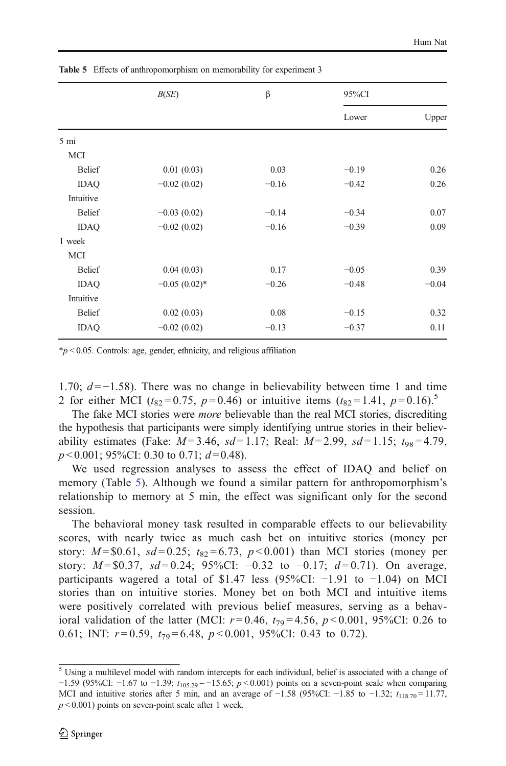|                | B(SE)           | β       | 95%CI   |         |
|----------------|-----------------|---------|---------|---------|
|                |                 |         | Lower   | Upper   |
| $5 \text{ mi}$ |                 |         |         |         |
| <b>MCI</b>     |                 |         |         |         |
| <b>Belief</b>  | 0.01(0.03)      | 0.03    | $-0.19$ | 0.26    |
| <b>IDAQ</b>    | $-0.02(0.02)$   | $-0.16$ | $-0.42$ | 0.26    |
| Intuitive      |                 |         |         |         |
| <b>Belief</b>  | $-0.03(0.02)$   | $-0.14$ | $-0.34$ | 0.07    |
| <b>IDAQ</b>    | $-0.02(0.02)$   | $-0.16$ | $-0.39$ | 0.09    |
| 1 week         |                 |         |         |         |
| MCI            |                 |         |         |         |
| <b>Belief</b>  | 0.04(0.03)      | 0.17    | $-0.05$ | 0.39    |
| <b>IDAQ</b>    | $-0.05(0.02)$ * | $-0.26$ | $-0.48$ | $-0.04$ |
| Intuitive      |                 |         |         |         |
| <b>Belief</b>  | 0.02(0.03)      | 0.08    | $-0.15$ | 0.32    |
| <b>IDAQ</b>    | $-0.02(0.02)$   | $-0.13$ | $-0.37$ | 0.11    |

Table 5 Effects of anthropomorphism on memorability for experiment 3

 $*p < 0.05$ . Controls: age, gender, ethnicity, and religious affiliation

1.70;  $d = -1.58$ ). There was no change in believability between time 1 and time 2 for either MCI ( $t_{82} = 0.75$ ,  $p = 0.46$ ) or intuitive items ( $t_{82} = 1.41$ ,  $p = 0.16$ ).<sup>5</sup>

The fake MCI stories were more believable than the real MCI stories, discrediting the hypothesis that participants were simply identifying untrue stories in their believability estimates (Fake:  $M=3.46$ ,  $sd=1.17$ ; Real:  $M=2.99$ ,  $sd=1.15$ ;  $t_{98}=4.79$ ,  $p < 0.001$ ; 95%CI: 0.30 to 0.71;  $d = 0.48$ ).

We used regression analyses to assess the effect of IDAQ and belief on memory (Table 5). Although we found a similar pattern for anthropomorphism's relationship to memory at 5 min, the effect was significant only for the second session.

The behavioral money task resulted in comparable effects to our believability scores, with nearly twice as much cash bet on intuitive stories (money per story:  $M = $0.61$ ,  $sd = 0.25$ ;  $t_{82} = 6.73$ ,  $p < 0.001$ ) than MCI stories (money per story:  $M = $0.37$ ,  $sd = 0.24$ ; 95%CI:  $-0.32$  to  $-0.17$ ;  $d = 0.71$ ). On average, participants wagered a total of \$1.47 less (95%CI:  $-1.91$  to  $-1.04$ ) on MCI stories than on intuitive stories. Money bet on both MCI and intuitive items were positively correlated with previous belief measures, serving as a behavioral validation of the latter (MCI:  $r=0.46$ ,  $t_{79}=4.56$ ,  $p<0.001$ , 95%CI: 0.26 to 0.61; INT:  $r=0.59$ ,  $t_{79}=6.48$ ,  $p<0.001$ , 95%CI: 0.43 to 0.72).

<sup>5</sup> Using a multilevel model with random intercepts for each individual, belief is associated with a change of −1.59 (95%CI: −1.67 to −1.39;  $t_{105.29}$  = −15.65;  $p$  < 0.001) points on a seven-point scale when comparing MCI and intuitive stories after 5 min, and an average of  $-1.58$  (95%CI:  $-1.85$  to  $-1.32$ ;  $t_{118.70} = 11.77$ ,  $p < 0.001$ ) points on seven-point scale after 1 week.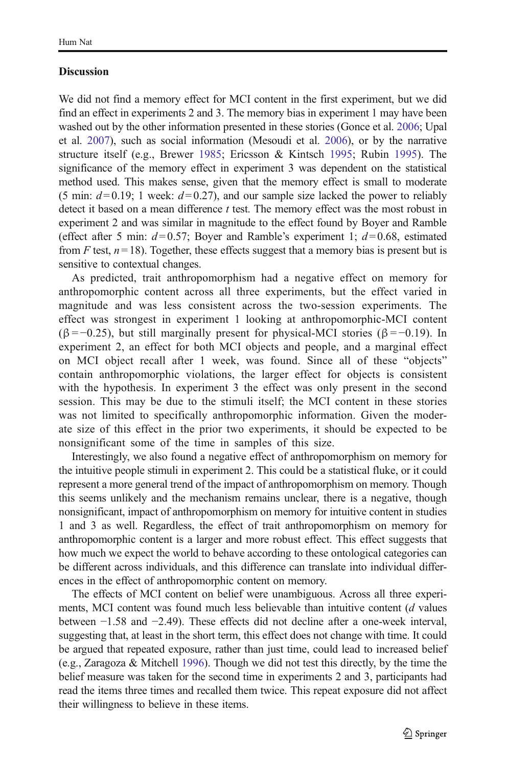#### **Discussion**

We did not find a memory effect for MCI content in the first experiment, but we did find an effect in experiments 2 and 3. The memory bias in experiment 1 may have been washed out by the other information presented in these stories (Gonce et al. [2006](#page-21-0); Upal et al. [2007](#page-21-0)), such as social information (Mesoudi et al. [2006\)](#page-21-0), or by the narrative structure itself (e.g., Brewer [1985;](#page-20-0) Ericsson & Kintsch [1995](#page-20-0); Rubin [1995\)](#page-21-0). The significance of the memory effect in experiment 3 was dependent on the statistical method used. This makes sense, given that the memory effect is small to moderate (5 min:  $d=0.19$ ; 1 week:  $d=0.27$ ), and our sample size lacked the power to reliably detect it based on a mean difference t test. The memory effect was the most robust in experiment 2 and was similar in magnitude to the effect found by Boyer and Ramble (effect after 5 min:  $d=0.57$ ; Boyer and Ramble's experiment 1;  $d=0.68$ , estimated from F test,  $n = 18$ ). Together, these effects suggest that a memory bias is present but is sensitive to contextual changes.

As predicted, trait anthropomorphism had a negative effect on memory for anthropomorphic content across all three experiments, but the effect varied in magnitude and was less consistent across the two-session experiments. The effect was strongest in experiment 1 looking at anthropomorphic-MCI content ( $\beta$ = −0.25), but still marginally present for physical-MCI stories ( $\beta$ = −0.19). In experiment 2, an effect for both MCI objects and people, and a marginal effect on MCI object recall after 1 week, was found. Since all of these "objects" contain anthropomorphic violations, the larger effect for objects is consistent with the hypothesis. In experiment 3 the effect was only present in the second session. This may be due to the stimuli itself; the MCI content in these stories was not limited to specifically anthropomorphic information. Given the moderate size of this effect in the prior two experiments, it should be expected to be nonsignificant some of the time in samples of this size.

Interestingly, we also found a negative effect of anthropomorphism on memory for the intuitive people stimuli in experiment 2. This could be a statistical fluke, or it could represent a more general trend of the impact of anthropomorphism on memory. Though this seems unlikely and the mechanism remains unclear, there is a negative, though nonsignificant, impact of anthropomorphism on memory for intuitive content in studies 1 and 3 as well. Regardless, the effect of trait anthropomorphism on memory for anthropomorphic content is a larger and more robust effect. This effect suggests that how much we expect the world to behave according to these ontological categories can be different across individuals, and this difference can translate into individual differences in the effect of anthropomorphic content on memory.

The effects of MCI content on belief were unambiguous. Across all three experiments, MCI content was found much less believable than intuitive content (d values between −1.58 and −2.49). These effects did not decline after a one-week interval, suggesting that, at least in the short term, this effect does not change with time. It could be argued that repeated exposure, rather than just time, could lead to increased belief (e.g., Zaragoza & Mitchell [1996](#page-22-0)). Though we did not test this directly, by the time the belief measure was taken for the second time in experiments 2 and 3, participants had read the items three times and recalled them twice. This repeat exposure did not affect their willingness to believe in these items.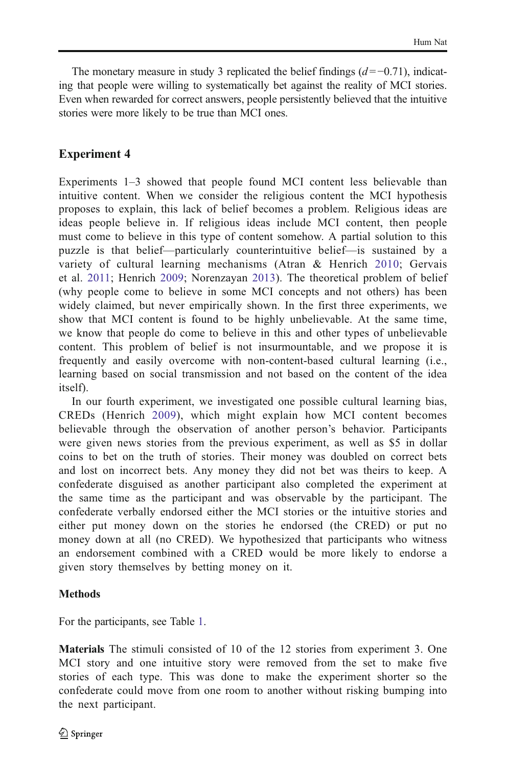The monetary measure in study 3 replicated the belief findings  $(d = -0.71)$ , indicating that people were willing to systematically bet against the reality of MCI stories. Even when rewarded for correct answers, people persistently believed that the intuitive stories were more likely to be true than MCI ones.

# Experiment 4

Experiments 1–3 showed that people found MCI content less believable than intuitive content. When we consider the religious content the MCI hypothesis proposes to explain, this lack of belief becomes a problem. Religious ideas are ideas people believe in. If religious ideas include MCI content, then people must come to believe in this type of content somehow. A partial solution to this puzzle is that belief—particularly counterintuitive belief—is sustained by a variety of cultural learning mechanisms (Atran & Henrich [2010;](#page-20-0) Gervais et al. [2011](#page-20-0); Henrich [2009;](#page-21-0) Norenzayan [2013\)](#page-21-0). The theoretical problem of belief (why people come to believe in some MCI concepts and not others) has been widely claimed, but never empirically shown. In the first three experiments, we show that MCI content is found to be highly unbelievable. At the same time, we know that people do come to believe in this and other types of unbelievable content. This problem of belief is not insurmountable, and we propose it is frequently and easily overcome with non-content-based cultural learning (i.e., learning based on social transmission and not based on the content of the idea itself).

In our fourth experiment, we investigated one possible cultural learning bias, CREDs (Henrich [2009](#page-21-0)), which might explain how MCI content becomes believable through the observation of another person's behavior. Participants were given news stories from the previous experiment, as well as \$5 in dollar coins to bet on the truth of stories. Their money was doubled on correct bets and lost on incorrect bets. Any money they did not bet was theirs to keep. A confederate disguised as another participant also completed the experiment at the same time as the participant and was observable by the participant. The confederate verbally endorsed either the MCI stories or the intuitive stories and either put money down on the stories he endorsed (the CRED) or put no money down at all (no CRED). We hypothesized that participants who witness an endorsement combined with a CRED would be more likely to endorse a given story themselves by betting money on it.

### Methods

For the participants, see Table [1.](#page-6-0)

Materials The stimuli consisted of 10 of the 12 stories from experiment 3. One MCI story and one intuitive story were removed from the set to make five stories of each type. This was done to make the experiment shorter so the confederate could move from one room to another without risking bumping into the next participant.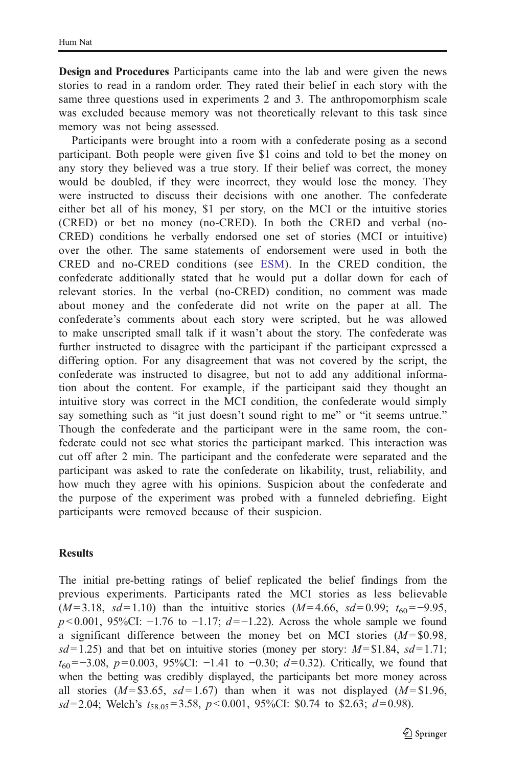Design and Procedures Participants came into the lab and were given the news stories to read in a random order. They rated their belief in each story with the same three questions used in experiments 2 and 3. The anthropomorphism scale was excluded because memory was not theoretically relevant to this task since memory was not being assessed.

Participants were brought into a room with a confederate posing as a second participant. Both people were given five \$1 coins and told to bet the money on any story they believed was a true story. If their belief was correct, the money would be doubled, if they were incorrect, they would lose the money. They were instructed to discuss their decisions with one another. The confederate either bet all of his money, \$1 per story, on the MCI or the intuitive stories (CRED) or bet no money (no-CRED). In both the CRED and verbal (no-CRED) conditions he verbally endorsed one set of stories (MCI or intuitive) over the other. The same statements of endorsement were used in both the CRED and no-CRED conditions (see ESM). In the CRED condition, the confederate additionally stated that he would put a dollar down for each of relevant stories. In the verbal (no-CRED) condition, no comment was made about money and the confederate did not write on the paper at all. The confederate's comments about each story were scripted, but he was allowed to make unscripted small talk if it wasn't about the story. The confederate was further instructed to disagree with the participant if the participant expressed a differing option. For any disagreement that was not covered by the script, the confederate was instructed to disagree, but not to add any additional information about the content. For example, if the participant said they thought an intuitive story was correct in the MCI condition, the confederate would simply say something such as "it just doesn't sound right to me" or "it seems untrue." Though the confederate and the participant were in the same room, the confederate could not see what stories the participant marked. This interaction was cut off after 2 min. The participant and the confederate were separated and the participant was asked to rate the confederate on likability, trust, reliability, and how much they agree with his opinions. Suspicion about the confederate and the purpose of the experiment was probed with a funneled debriefing. Eight participants were removed because of their suspicion.

#### **Results**

The initial pre-betting ratings of belief replicated the belief findings from the previous experiments. Participants rated the MCI stories as less believable  $(M=3.18, sd=1.10)$  than the intuitive stories  $(M=4.66, sd=0.99; t_{60}=-9.95,$  $p < 0.001$ , 95%CI:  $-1.76$  to  $-1.17$ ;  $d = -1.22$ ). Across the whole sample we found a significant difference between the money bet on MCI stories  $(M = $0.98,$  $sd= 1.25$ ) and that bet on intuitive stories (money per story:  $M = $1.84$ ,  $sd= 1.71$ ;  $t_{60}$ =−3.08, p=0.003, 95%CI: −1.41 to −0.30; d=0.32). Critically, we found that when the betting was credibly displayed, the participants bet more money across all stories ( $M = $3.65$ ,  $sd = 1.67$ ) than when it was not displayed ( $M = $1.96$ ,  $sd= 2.04$ ; Welch's  $t_{58.05} = 3.58$ ,  $p < 0.001$ , 95%CI: \$0.74 to \$2.63;  $d=0.98$ ).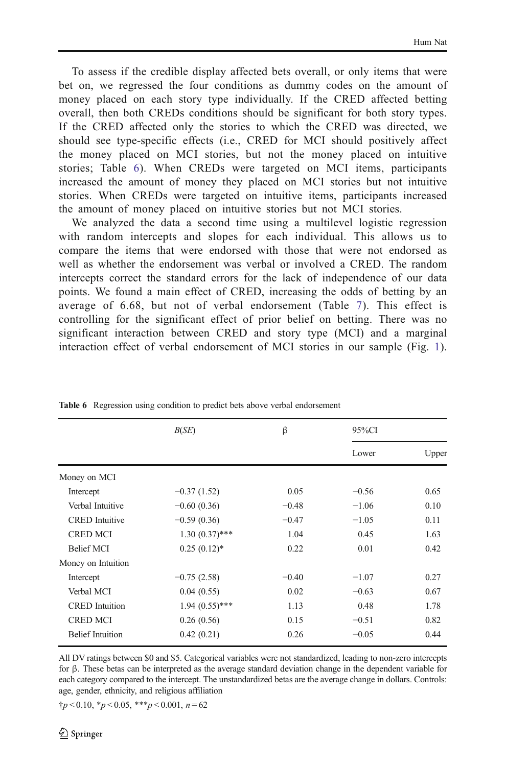<span id="page-15-0"></span>To assess if the credible display affected bets overall, or only items that were bet on, we regressed the four conditions as dummy codes on the amount of money placed on each story type individually. If the CRED affected betting overall, then both CREDs conditions should be significant for both story types. If the CRED affected only the stories to which the CRED was directed, we should see type-specific effects (i.e., CRED for MCI should positively affect the money placed on MCI stories, but not the money placed on intuitive stories; Table 6). When CREDs were targeted on MCI items, participants increased the amount of money they placed on MCI stories but not intuitive stories. When CREDs were targeted on intuitive items, participants increased the amount of money placed on intuitive stories but not MCI stories.

We analyzed the data a second time using a multilevel logistic regression with random intercepts and slopes for each individual. This allows us to compare the items that were endorsed with those that were not endorsed as well as whether the endorsement was verbal or involved a CRED. The random intercepts correct the standard errors for the lack of independence of our data points. We found a main effect of CRED, increasing the odds of betting by an average of 6.68, but not of verbal endorsement (Table [7\)](#page-16-0). This effect is controlling for the significant effect of prior belief on betting. There was no significant interaction between CRED and story type (MCI) and a marginal interaction effect of verbal endorsement of MCI stories in our sample (Fig. [1\)](#page-16-0).

|                         | B(SE)            | β       | 95%CI   |       |
|-------------------------|------------------|---------|---------|-------|
|                         |                  |         | Lower   | Upper |
| Money on MCI            |                  |         |         |       |
| Intercept               | $-0.37(1.52)$    | 0.05    | $-0.56$ | 0.65  |
| Verbal Intuitive        | $-0.60(0.36)$    | $-0.48$ | $-1.06$ | 0.10  |
| <b>CRED</b> Intuitive   | $-0.59(0.36)$    | $-0.47$ | $-1.05$ | 0.11  |
| <b>CRED MCI</b>         | $1.30(0.37)$ *** | 1.04    | 0.45    | 1.63  |
| <b>Belief MCI</b>       | $0.25(0.12)^*$   | 0.22    | 0.01    | 0.42  |
| Money on Intuition      |                  |         |         |       |
| Intercept               | $-0.75(2.58)$    | $-0.40$ | $-1.07$ | 0.27  |
| Verbal MCI              | 0.04(0.55)       | 0.02    | $-0.63$ | 0.67  |
| <b>CRED</b> Intuition   | $1.94(0.55)$ *** | 1.13    | 0.48    | 1.78  |
| <b>CRED MCI</b>         | 0.26(0.56)       | 0.15    | $-0.51$ | 0.82  |
| <b>Belief Intuition</b> | 0.42(0.21)       | 0.26    | $-0.05$ | 0.44  |
|                         |                  |         |         |       |

Table 6 Regression using condition to predict bets above verbal endorsement

All DV ratings between \$0 and \$5. Categorical variables were not standardized, leading to non-zero intercepts for β. These betas can be interpreted as the average standard deviation change in the dependent variable for each category compared to the intercept. The unstandardized betas are the average change in dollars. Controls: age, gender, ethnicity, and religious affiliation

 $\uparrow p < 0.10, \uparrow p < 0.05, \uparrow \uparrow p < 0.001, n = 62$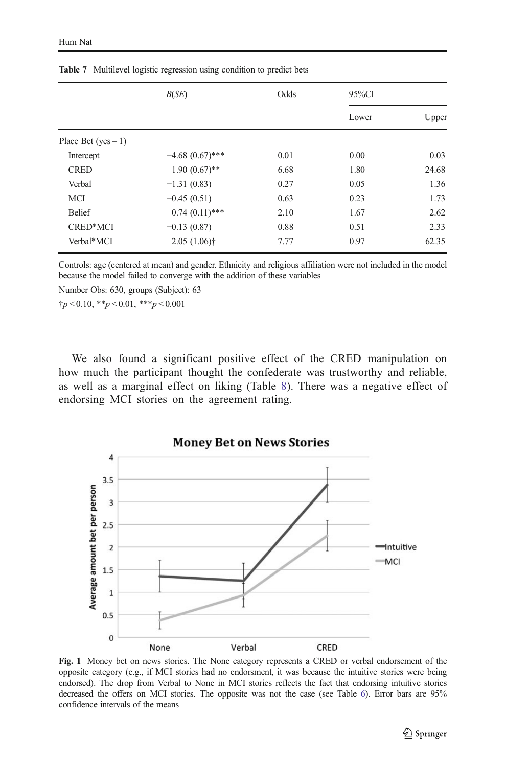|                         | B(SE)             | Odds | 95%CI |       |
|-------------------------|-------------------|------|-------|-------|
|                         |                   |      | Lower | Upper |
| Place Bet ( $yes = 1$ ) |                   |      |       |       |
| Intercept               | $-4.68(0.67)$ *** | 0.01 | 0.00  | 0.03  |
| <b>CRED</b>             | $1.90(0.67)$ **   | 6.68 | 1.80  | 24.68 |
| Verbal                  | $-1.31(0.83)$     | 0.27 | 0.05  | 1.36  |
| MCI                     | $-0.45(0.51)$     | 0.63 | 0.23  | 1.73  |
| <b>Belief</b>           | $0.74(0.11)$ ***  | 2.10 | 1.67  | 2.62  |
| CRED*MCI                | $-0.13(0.87)$     | 0.88 | 0.51  | 2.33  |
| Verbal*MCI              | $2.05(1.06)$ †    | 7.77 | 0.97  | 62.35 |
|                         |                   |      |       |       |

<span id="page-16-0"></span>Table 7 Multilevel logistic regression using condition to predict bets

Controls: age (centered at mean) and gender. Ethnicity and religious affiliation were not included in the model because the model failed to converge with the addition of these variables

Number Obs: 630, groups (Subject): 63

 $\dagger p < 0.10, \dagger_{p} < 0.01, \dagger_{p} < 0.001$ 

We also found a significant positive effect of the CRED manipulation on how much the participant thought the confederate was trustworthy and reliable, as well as a marginal effect on liking (Table [8](#page-17-0)). There was a negative effect of endorsing MCI stories on the agreement rating.

**Money Bet on News Stories**  $\overline{4}$  $3.5$ Average amount bet per person 3  $2.5$ Intuitive  $\overline{2}$ MCI  $1.5$  $\overline{1}$  $0.5$  $\mathbf 0$ None Verbal CRED

Fig. 1 Money bet on news stories. The None category represents a CRED or verbal endorsement of the opposite category (e.g., if MCI stories had no endorsment, it was because the intuitive stories were being endorsed). The drop from Verbal to None in MCI stories reflects the fact that endorsing intuitive stories decreased the offers on MCI stories. The opposite was not the case (see Table [6](#page-15-0)). Error bars are 95% confidence intervals of the means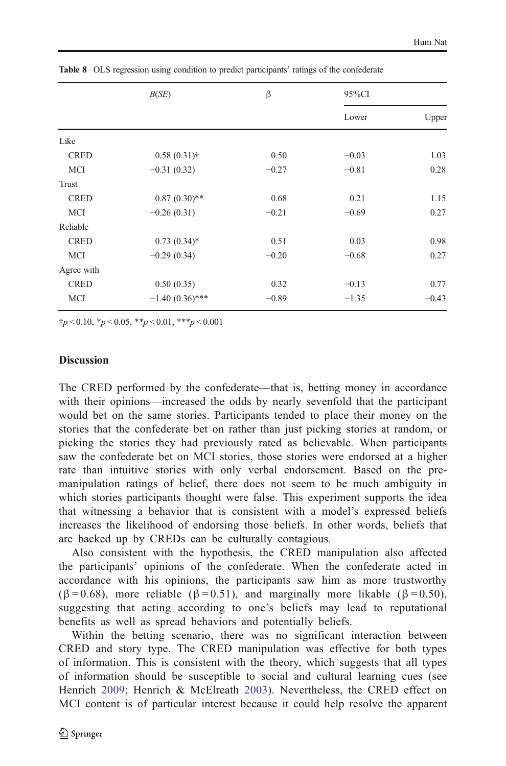|             | B(SE)             | $\beta$ | 95%CI   |         |
|-------------|-------------------|---------|---------|---------|
|             |                   |         | Lower   | Upper   |
| Like        |                   |         |         |         |
| <b>CRED</b> | $0.58(0.31)$ †    | 0.50    | $-0.03$ | 1.03    |
| MCI         | $-0.31(0.32)$     | $-0.27$ | $-0.81$ | 0.28    |
| Trust       |                   |         |         |         |
| <b>CRED</b> | $0.87~(0.30)**$   | 0.68    | 0.21    | 1.15    |
| MCI         | $-0.26(0.31)$     | $-0.21$ | $-0.69$ | 0.27    |
| Reliable    |                   |         |         |         |
| <b>CRED</b> | $0.73(0.34)$ *    | 0.51    | 0.03    | 0.98    |
| MCI         | $-0.29(0.34)$     | $-0.20$ | $-0.68$ | 0.27    |
| Agree with  |                   |         |         |         |
| <b>CRED</b> | 0.50(0.35)        | 0.32    | $-0.13$ | 0.77    |
| MCI         | $-1.40(0.36)$ *** | $-0.89$ | $-1.35$ | $-0.43$ |

<span id="page-17-0"></span>Table 8 OLS regression using condition to predict participants' ratings of the confederate

 $\uparrow p < 0.10, \uparrow p < 0.05, \uparrow \uparrow p < 0.01, \uparrow \uparrow \uparrow p < 0.001$ 

#### **Discussion**

The CRED performed by the confederate—that is, betting money in accordance with their opinions—increased the odds by nearly sevenfold that the participant would bet on the same stories. Participants tended to place their money on the stories that the confederate bet on rather than just picking stories at random, or picking the stories they had previously rated as believable. When participants saw the confederate bet on MCI stories, those stories were endorsed at a higher rate than intuitive stories with only verbal endorsement. Based on the premanipulation ratings of belief, there does not seem to be much ambiguity in which stories participants thought were false. This experiment supports the idea that witnessing a behavior that is consistent with a model's expressed beliefs increases the likelihood of endorsing those beliefs. In other words, beliefs that are backed up by CREDs can be culturally contagious.

Also consistent with the hypothesis, the CRED manipulation also affected the participants' opinions of the confederate. When the confederate acted in accordance with his opinions, the participants saw him as more trustworthy  $(\beta = 0.68)$ , more reliable ( $\beta = 0.51$ ), and marginally more likable ( $\beta = 0.50$ ), suggesting that acting according to one's beliefs may lead to reputational benefits as well as spread behaviors and potentially beliefs.

Within the betting scenario, there was no significant interaction between CRED and story type. The CRED manipulation was effective for both types of information. This is consistent with the theory, which suggests that all types of information should be susceptible to social and cultural learning cues (see Henrich [2009](#page-21-0); Henrich & McElreath [2003\)](#page-21-0). Nevertheless, the CRED effect on MCI content is of particular interest because it could help resolve the apparent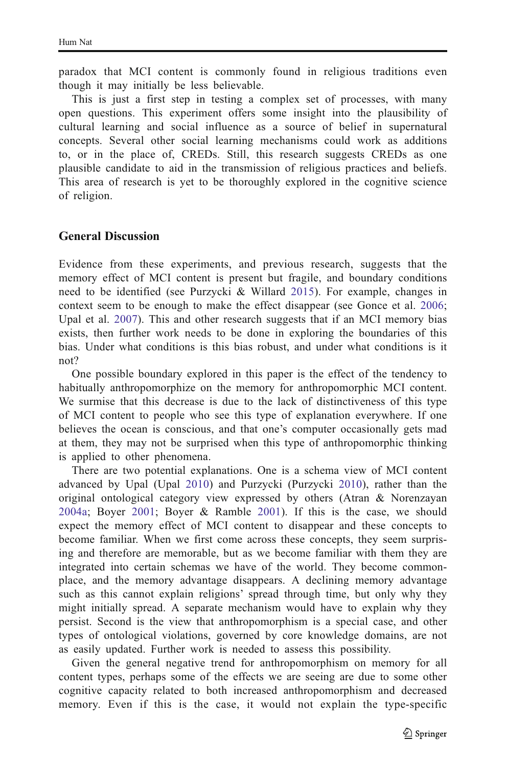paradox that MCI content is commonly found in religious traditions even though it may initially be less believable.

This is just a first step in testing a complex set of processes, with many open questions. This experiment offers some insight into the plausibility of cultural learning and social influence as a source of belief in supernatural concepts. Several other social learning mechanisms could work as additions to, or in the place of, CREDs. Still, this research suggests CREDs as one plausible candidate to aid in the transmission of religious practices and beliefs. This area of research is yet to be thoroughly explored in the cognitive science of religion.

### General Discussion

Evidence from these experiments, and previous research, suggests that the memory effect of MCI content is present but fragile, and boundary conditions need to be identified (see Purzycki & Willard [2015](#page-21-0)). For example, changes in context seem to be enough to make the effect disappear (see Gonce et al. [2006;](#page-21-0) Upal et al. [2007\)](#page-21-0). This and other research suggests that if an MCI memory bias exists, then further work needs to be done in exploring the boundaries of this bias. Under what conditions is this bias robust, and under what conditions is it not?

One possible boundary explored in this paper is the effect of the tendency to habitually anthropomorphize on the memory for anthropomorphic MCI content. We surmise that this decrease is due to the lack of distinctiveness of this type of MCI content to people who see this type of explanation everywhere. If one believes the ocean is conscious, and that one's computer occasionally gets mad at them, they may not be surprised when this type of anthropomorphic thinking is applied to other phenomena.

There are two potential explanations. One is a schema view of MCI content advanced by Upal (Upal [2010\)](#page-21-0) and Purzycki (Purzycki [2010\)](#page-21-0), rather than the original ontological category view expressed by others (Atran & Norenzayan [2004a;](#page-20-0) Boyer [2001;](#page-20-0) Boyer & Ramble [2001](#page-20-0)). If this is the case, we should expect the memory effect of MCI content to disappear and these concepts to become familiar. When we first come across these concepts, they seem surprising and therefore are memorable, but as we become familiar with them they are integrated into certain schemas we have of the world. They become commonplace, and the memory advantage disappears. A declining memory advantage such as this cannot explain religions' spread through time, but only why they might initially spread. A separate mechanism would have to explain why they persist. Second is the view that anthropomorphism is a special case, and other types of ontological violations, governed by core knowledge domains, are not as easily updated. Further work is needed to assess this possibility.

Given the general negative trend for anthropomorphism on memory for all content types, perhaps some of the effects we are seeing are due to some other cognitive capacity related to both increased anthropomorphism and decreased memory. Even if this is the case, it would not explain the type-specific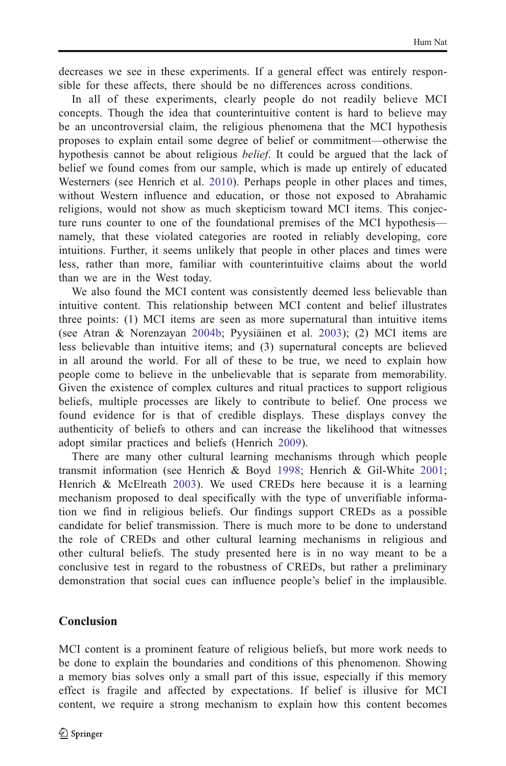decreases we see in these experiments. If a general effect was entirely responsible for these affects, there should be no differences across conditions.

In all of these experiments, clearly people do not readily believe MCI concepts. Though the idea that counterintuitive content is hard to believe may be an uncontroversial claim, the religious phenomena that the MCI hypothesis proposes to explain entail some degree of belief or commitment—otherwise the hypothesis cannot be about religious belief. It could be argued that the lack of belief we found comes from our sample, which is made up entirely of educated Westerners (see Henrich et al. [2010](#page-21-0)). Perhaps people in other places and times, without Western influence and education, or those not exposed to Abrahamic religions, would not show as much skepticism toward MCI items. This conjecture runs counter to one of the foundational premises of the MCI hypothesis namely, that these violated categories are rooted in reliably developing, core intuitions. Further, it seems unlikely that people in other places and times were less, rather than more, familiar with counterintuitive claims about the world than we are in the West today.

We also found the MCI content was consistently deemed less believable than intuitive content. This relationship between MCI content and belief illustrates three points: (1) MCI items are seen as more supernatural than intuitive items (see Atran & Norenzayan [2004b](#page-20-0); Pyysiäinen et al. [2003](#page-21-0)); (2) MCI items are less believable than intuitive items; and (3) supernatural concepts are believed in all around the world. For all of these to be true, we need to explain how people come to believe in the unbelievable that is separate from memorability. Given the existence of complex cultures and ritual practices to support religious beliefs, multiple processes are likely to contribute to belief. One process we found evidence for is that of credible displays. These displays convey the authenticity of beliefs to others and can increase the likelihood that witnesses adopt similar practices and beliefs (Henrich [2009\)](#page-21-0).

There are many other cultural learning mechanisms through which people transmit information (see Henrich & Boyd [1998](#page-21-0); Henrich & Gil-White [2001;](#page-21-0) Henrich & McElreath [2003\)](#page-21-0). We used CREDs here because it is a learning mechanism proposed to deal specifically with the type of unverifiable information we find in religious beliefs. Our findings support CREDs as a possible candidate for belief transmission. There is much more to be done to understand the role of CREDs and other cultural learning mechanisms in religious and other cultural beliefs. The study presented here is in no way meant to be a conclusive test in regard to the robustness of CREDs, but rather a preliminary demonstration that social cues can influence people's belief in the implausible.

## Conclusion

MCI content is a prominent feature of religious beliefs, but more work needs to be done to explain the boundaries and conditions of this phenomenon. Showing a memory bias solves only a small part of this issue, especially if this memory effect is fragile and affected by expectations. If belief is illusive for MCI content, we require a strong mechanism to explain how this content becomes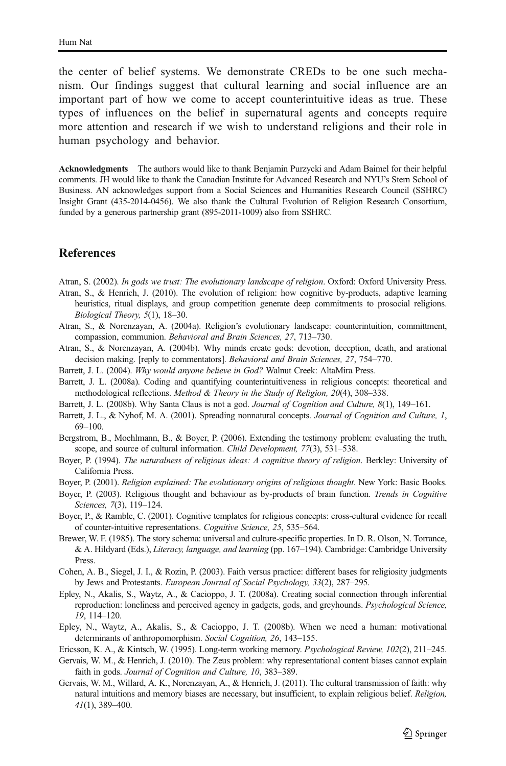<span id="page-20-0"></span>the center of belief systems. We demonstrate CREDs to be one such mechanism. Our findings suggest that cultural learning and social influence are an important part of how we come to accept counterintuitive ideas as true. These types of influences on the belief in supernatural agents and concepts require more attention and research if we wish to understand religions and their role in human psychology and behavior.

Acknowledgments The authors would like to thank Benjamin Purzycki and Adam Baimel for their helpful comments. JH would like to thank the Canadian Institute for Advanced Research and NYU's Stern School of Business. AN acknowledges support from a Social Sciences and Humanities Research Council (SSHRC) Insight Grant (435-2014-0456). We also thank the Cultural Evolution of Religion Research Consortium, funded by a generous partnership grant (895-2011-1009) also from SSHRC.

### **References**

Atran, S. (2002). In gods we trust: The evolutionary landscape of religion. Oxford: Oxford University Press.

- Atran, S., & Henrich, J. (2010). The evolution of religion: how cognitive by-products, adaptive learning heuristics, ritual displays, and group competition generate deep commitments to prosocial religions. Biological Theory, 5(1), 18–30.
- Atran, S., & Norenzayan, A. (2004a). Religion's evolutionary landscape: counterintuition, committment, compassion, communion. Behavioral and Brain Sciences, 27, 713–730.
- Atran, S., & Norenzayan, A. (2004b). Why minds create gods: devotion, deception, death, and arational decision making. [reply to commentators]. Behavioral and Brain Sciences, 27, 754–770.
- Barrett, J. L. (2004). Why would anyone believe in God? Walnut Creek: AltaMira Press.
- Barrett, J. L. (2008a). Coding and quantifying counterintuitiveness in religious concepts: theoretical and methodological reflections. Method & Theory in the Study of Religion, 20(4), 308–338.
- Barrett, J. L. (2008b). Why Santa Claus is not a god. Journal of Cognition and Culture, 8(1), 149–161.
- Barrett, J. L., & Nyhof, M. A. (2001). Spreading nonnatural concepts. Journal of Cognition and Culture, 1, 69–100.
- Bergstrom, B., Moehlmann, B., & Boyer, P. (2006). Extending the testimony problem: evaluating the truth, scope, and source of cultural information. *Child Development*, 77(3), 531–538.
- Boyer, P. (1994). The naturalness of religious ideas: A cognitive theory of religion. Berkley: University of California Press.

Boyer, P. (2001). Religion explained: The evolutionary origins of religious thought. New York: Basic Books.

- Boyer, P. (2003). Religious thought and behaviour as by-products of brain function. Trends in Cognitive Sciences, 7(3), 119–124.
- Boyer, P., & Ramble, C. (2001). Cognitive templates for religious concepts: cross-cultural evidence for recall of counter-intuitive representations. Cognitive Science, 25, 535–564.
- Brewer, W. F. (1985). The story schema: universal and culture-specific properties. In D. R. Olson, N. Torrance, & A. Hildyard (Eds.), Literacy, language, and learning (pp. 167–194). Cambridge: Cambridge University Press.
- Cohen, A. B., Siegel, J. I., & Rozin, P. (2003). Faith versus practice: different bases for religiosity judgments by Jews and Protestants. European Journal of Social Psychology, 33(2), 287–295.
- Epley, N., Akalis, S., Waytz, A., & Cacioppo, J. T. (2008a). Creating social connection through inferential reproduction: loneliness and perceived agency in gadgets, gods, and greyhounds. Psychological Science, 19, 114–120.
- Epley, N., Waytz, A., Akalis, S., & Cacioppo, J. T. (2008b). When we need a human: motivational determinants of anthropomorphism. Social Cognition, 26, 143–155.
- Ericsson, K. A., & Kintsch, W. (1995). Long-term working memory. Psychological Review, 102(2), 211–245.
- Gervais, W. M., & Henrich, J. (2010). The Zeus problem: why representational content biases cannot explain faith in gods. Journal of Cognition and Culture, 10, 383–389.
- Gervais, W. M., Willard, A. K., Norenzayan, A., & Henrich, J. (2011). The cultural transmission of faith: why natural intuitions and memory biases are necessary, but insufficient, to explain religious belief. Religion, 41(1), 389–400.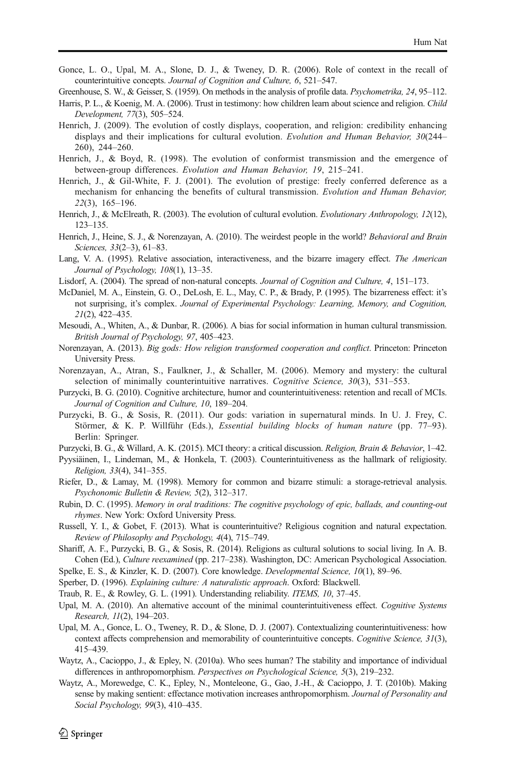<span id="page-21-0"></span>Gonce, L. O., Upal, M. A., Slone, D. J., & Tweney, D. R. (2006). Role of context in the recall of counterintuitive concepts. Journal of Cognition and Culture, 6, 521–547.

Greenhouse, S. W., & Geisser, S. (1959). On methods in the analysis of profile data. *Psychometrika*, 24, 95–112.

- Harris, P. L., & Koenig, M. A. (2006). Trust in testimony: how children learn about science and religion. Child Development, 77(3), 505–524.
- Henrich, J. (2009). The evolution of costly displays, cooperation, and religion: credibility enhancing displays and their implications for cultural evolution. Evolution and Human Behavior, 30(244– 260), 244–260.
- Henrich, J., & Boyd, R. (1998). The evolution of conformist transmission and the emergence of between-group differences. Evolution and Human Behavior, 19, 215–241.
- Henrich, J., & Gil-White, F. J. (2001). The evolution of prestige: freely conferred deference as a mechanism for enhancing the benefits of cultural transmission. Evolution and Human Behavior, 22(3), 165–196.
- Henrich, J., & McElreath, R. (2003). The evolution of cultural evolution. Evolutionary Anthropology, 12(12), 123–135.
- Henrich, J., Heine, S. J., & Norenzayan, A. (2010). The weirdest people in the world? Behavioral and Brain Sciences, 33(2–3), 61–83.
- Lang, V. A. (1995). Relative association, interactiveness, and the bizarre imagery effect. The American Journal of Psychology, 108(1), 13–35.
- Lisdorf, A. (2004). The spread of non-natural concepts. Journal of Cognition and Culture, 4, 151–173.
- McDaniel, M. A., Einstein, G. O., DeLosh, E. L., May, C. P., & Brady, P. (1995). The bizarreness effect: it's not surprising, it's complex. Journal of Experimental Psychology: Learning, Memory, and Cognition, 21(2), 422–435.
- Mesoudi, A., Whiten, A., & Dunbar, R. (2006). A bias for social information in human cultural transmission. British Journal of Psychology, 97, 405–423.
- Norenzayan, A. (2013). Big gods: How religion transformed cooperation and conflict. Princeton: Princeton University Press.
- Norenzayan, A., Atran, S., Faulkner, J., & Schaller, M. (2006). Memory and mystery: the cultural selection of minimally counterintuitive narratives. Cognitive Science, 30(3), 531-553.
- Purzycki, B. G. (2010). Cognitive architecture, humor and counterintuitiveness: retention and recall of MCIs. Journal of Cognition and Culture, 10, 189–204.
- Purzycki, B. G., & Sosis, R. (2011). Our gods: variation in supernatural minds. In U. J. Frey, C. Störmer, & K. P. Willführ (Eds.), Essential building blocks of human nature (pp. 77–93). Berlin: Springer.
- Purzycki, B. G., & Willard, A. K. (2015). MCI theory: a critical discussion. Religion, Brain & Behavior, 1–42.
- Pyysiäinen, I., Lindeman, M., & Honkela, T. (2003). Counterintuitiveness as the hallmark of religiosity. Religion, 33(4), 341–355.
- Riefer, D., & Lamay, M. (1998). Memory for common and bizarre stimuli: a storage-retrieval analysis. Psychonomic Bulletin & Review, 5(2), 312–317.
- Rubin, D. C. (1995). Memory in oral traditions: The cognitive psychology of epic, ballads, and counting-out rhymes. New York: Oxford University Press.
- Russell, Y. I., & Gobet, F. (2013). What is counterintuitive? Religious cognition and natural expectation. Review of Philosophy and Psychology, 4(4), 715–749.
- Shariff, A. F., Purzycki, B. G., & Sosis, R. (2014). Religions as cultural solutions to social living. In A. B. Cohen (Ed.), Culture reexamined (pp. 217–238). Washington, DC: American Psychological Association.
- Spelke, E. S., & Kinzler, K. D. (2007). Core knowledge. Developmental Science, 10(1), 89–96.
- Sperber, D. (1996). Explaining culture: A naturalistic approach. Oxford: Blackwell.
- Traub, R. E., & Rowley, G. L. (1991). Understanding reliability. ITEMS, 10, 37–45.
- Upal, M. A. (2010). An alternative account of the minimal counterintuitiveness effect. Cognitive Systems Research, 11(2), 194–203.
- Upal, M. A., Gonce, L. O., Tweney, R. D., & Slone, D. J. (2007). Contextualizing counterintuitiveness: how context affects comprehension and memorability of counterintuitive concepts. Cognitive Science, 31(3), 415–439.
- Waytz, A., Cacioppo, J., & Epley, N. (2010a). Who sees human? The stability and importance of individual differences in anthropomorphism. Perspectives on Psychological Science, 5(3), 219–232.
- Waytz, A., Morewedge, C. K., Epley, N., Monteleone, G., Gao, J.-H., & Cacioppo, J. T. (2010b). Making sense by making sentient: effectance motivation increases anthropomorphism. Journal of Personality and Social Psychology, 99(3), 410–435.